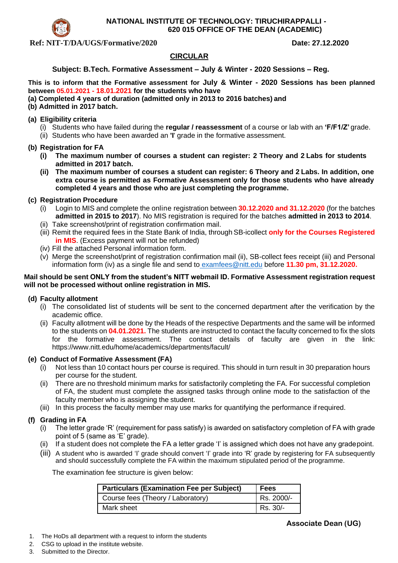

**NATIONAL INSTITUTE OF TECHNOLOGY: TIRUCHIRAPPALLI - 620 015 OFFICE OF THE DEAN (ACADEMIC)**

**Ref: NIT-T/DA/UGS/Formative/2020 Date: 27.12.2020** 

## **CIRCULAR**

## **Subject: B.Tech. Formative Assessment – July & Winter - 2020 Sessions – Reg.**

**This is to inform that the Formative assessment for July & Winter - 2020 Sessions has been planned between 05.01.2021 - 18.01.2021 for the students who have**

- **(a) Completed 4 years of duration (admitted only in 2013 to 2016 batches) and**
- **(b) Admitted in 2017 batch.**

#### **(a) Eligibility criteria**

- (i) Students who have failed during the **regular / reassessment** of a course or lab with an **'F/F1/Z'** grade.
- (ii) Students who have been awarded an **'I**' grade in the formative assessment.

#### **(b) Registration for FA**

- **(i) The maximum number of courses a student can register: 2 Theory and 2 Labs for students admitted in 2017 batch.**
- **(ii) The maximum number of courses a student can register: 6 Theory and 2 Labs. In addition, one extra course is permitted as Formative Assessment only for those students who have already completed 4 years and those who are just completing the programme.**

## **(c) Registration Procedure**

- (i) Login to MIS and complete the online registration between **30.12.2020 and 31.12.2020** (for the batches **admitted in 2015 to 2017**). No MIS registration is required for the batches **admitted in 2013 to 2014**.
- (ii) Take screenshot/print of registration confirmation mail.
- (iii) Remit the required fees in the State Bank of India, through SB-icollect **only for the Courses Registered in MIS**. (Excess payment will not be refunded)
- (iv) Fill the attached Personal information form.
- (v) Merge the screenshot/print of registration confirmation mail (ii), SB-collect fees receipt (iii) and Personal information form (iv) as a single file and send to [examfees@nitt.edu](mailto:examfees@nitt.edu) before **11.30 pm, 31.12.2020.**

#### **Mail should be sent ONLY from the student's NITT webmail ID. Formative Assessment registration request will not be processed without online registration in MIS.**

## **(d) Faculty allotment**

- (i) The consolidated list of students will be sent to the concerned department after the verification by the academic office.
- (ii) Faculty allotment will be done by the Heads of the respective Departments and the same will be informed to the students on **04.01.2021.** The students are instructed to contact the faculty concerned to fix the slots for the formative assessment. The contact details of faculty are given in the link: https://www.nitt.edu/home/academics/departments/facult/

#### **(e) Conduct of Formative Assessment (FA)**

- (i) Not less than 10 contact hours per course is required. This should in turn result in 30 preparation hours per course for the student.
- (ii) There are no threshold minimum marks for satisfactorily completing the FA. For successful completion of FA, the student must complete the assigned tasks through online mode to the satisfaction of the faculty member who is assigning the student.
- (iii) In this process the faculty member may use marks for quantifying the performance if required.

## **(f) Grading in FA**

- (i) The letter grade 'R' (requirement for pass satisfy) is awarded on satisfactory completion of FA with grade point of 5 (same as 'E' grade).
- If a student does not complete the FA a letter grade 'I' is assigned which does not have any gradepoint.
- (iii) A student who is awarded 'I' grade should convert 'I' grade into 'R' grade by registering for FA subsequently and should successfully complete the FA within the maximum stipulated period of the programme.

The examination fee structure is given below:

| <b>Particulars (Examination Fee per Subject)</b> | <b>Fees</b> |
|--------------------------------------------------|-------------|
| Course fees (Theory / Laboratory)                | Rs. 2000/-  |
| Mark sheet                                       | Rs. 30/-    |

- 1. The HoDs all department with a request to inform the students
- 2. CSG to upload in the institute website.
- 3. Submitted to the Director.